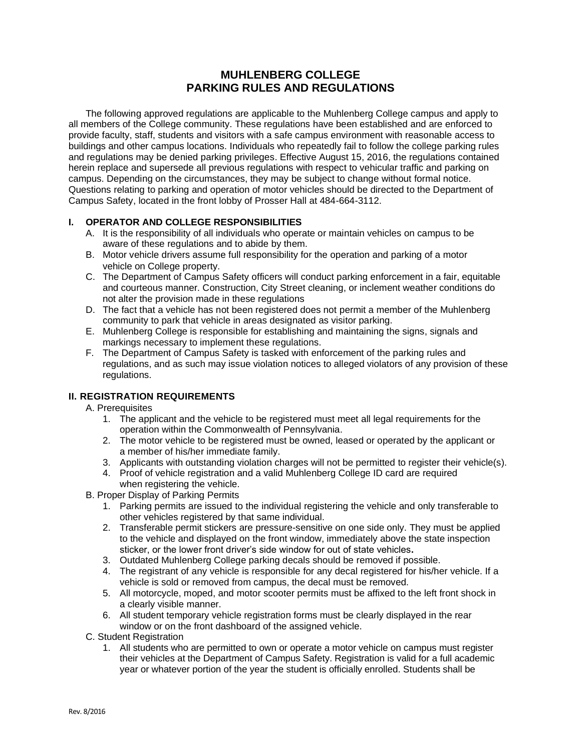## **MUHLENBERG COLLEGE PARKING RULES AND REGULATIONS**

The following approved regulations are applicable to the Muhlenberg College campus and apply to all members of the College community. These regulations have been established and are enforced to provide faculty, staff, students and visitors with a safe campus environment with reasonable access to buildings and other campus locations. Individuals who repeatedly fail to follow the college parking rules and regulations may be denied parking privileges. Effective August 15, 2016, the regulations contained herein replace and supersede all previous regulations with respect to vehicular traffic and parking on campus. Depending on the circumstances, they may be subject to change without formal notice. Questions relating to parking and operation of motor vehicles should be directed to the Department of Campus Safety, located in the front lobby of Prosser Hall at 484-664-3112.

### **I. OPERATOR AND COLLEGE RESPONSIBILITIES**

- A. It is the responsibility of all individuals who operate or maintain vehicles on campus to be aware of these regulations and to abide by them.
- B. Motor vehicle drivers assume full responsibility for the operation and parking of a motor vehicle on College property.
- C. The Department of Campus Safety officers will conduct parking enforcement in a fair, equitable and courteous manner. Construction, City Street cleaning, or inclement weather conditions do not alter the provision made in these regulations
- D. The fact that a vehicle has not been registered does not permit a member of the Muhlenberg community to park that vehicle in areas designated as visitor parking.
- E. Muhlenberg College is responsible for establishing and maintaining the signs, signals and markings necessary to implement these regulations.
- F. The Department of Campus Safety is tasked with enforcement of the parking rules and regulations, and as such may issue violation notices to alleged violators of any provision of these regulations.

## **II. REGISTRATION REQUIREMENTS**

- A. Prerequisites
	- 1. The applicant and the vehicle to be registered must meet all legal requirements for the operation within the Commonwealth of Pennsylvania.
	- 2. The motor vehicle to be registered must be owned, leased or operated by the applicant or a member of his/her immediate family.
	- 3. Applicants with outstanding violation charges will not be permitted to register their vehicle(s).
	- 4. Proof of vehicle registration and a valid Muhlenberg College ID card are required when registering the vehicle.
- B. Proper Display of Parking Permits
	- 1. Parking permits are issued to the individual registering the vehicle and only transferable to other vehicles registered by that same individual.
	- 2. Transferable permit stickers are pressure-sensitive on one side only. They must be applied to the vehicle and displayed on the front window, immediately above the state inspection sticker, or the lower front driver's side window for out of state vehicles**.**
	- 3. Outdated Muhlenberg College parking decals should be removed if possible.
	- 4. The registrant of any vehicle is responsible for any decal registered for his/her vehicle. If a vehicle is sold or removed from campus, the decal must be removed.
	- 5. All motorcycle, moped, and motor scooter permits must be affixed to the left front shock in a clearly visible manner.
	- 6. All student temporary vehicle registration forms must be clearly displayed in the rear window or on the front dashboard of the assigned vehicle.
- C. Student Registration
	- 1. All students who are permitted to own or operate a motor vehicle on campus must register their vehicles at the Department of Campus Safety. Registration is valid for a full academic year or whatever portion of the year the student is officially enrolled. Students shall be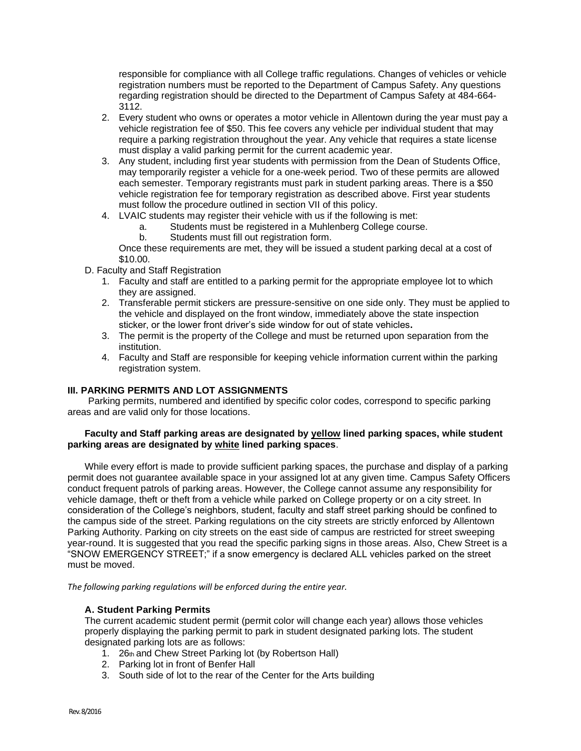responsible for compliance with all College traffic regulations. Changes of vehicles or vehicle registration numbers must be reported to the Department of Campus Safety. Any questions regarding registration should be directed to the Department of Campus Safety at 484-664- 3112.

- 2. Every student who owns or operates a motor vehicle in Allentown during the year must pay a vehicle registration fee of \$50. This fee covers any vehicle per individual student that may require a parking registration throughout the year. Any vehicle that requires a state license must display a valid parking permit for the current academic year.
- 3. Any student, including first year students with permission from the Dean of Students Office, may temporarily register a vehicle for a one-week period. Two of these permits are allowed each semester. Temporary registrants must park in student parking areas. There is a \$50 vehicle registration fee for temporary registration as described above. First year students must follow the procedure outlined in section VII of this policy.
- 4. LVAIC students may register their vehicle with us if the following is met:
	- a. Students must be registered in a Muhlenberg College course.
	- b. Students must fill out registration form.

Once these requirements are met, they will be issued a student parking decal at a cost of \$10.00.

D. Faculty and Staff Registration

- 1. Faculty and staff are entitled to a parking permit for the appropriate employee lot to which they are assigned.
- 2. Transferable permit stickers are pressure-sensitive on one side only. They must be applied to the vehicle and displayed on the front window, immediately above the state inspection sticker, or the lower front driver's side window for out of state vehicles**.**
- 3. The permit is the property of the College and must be returned upon separation from the institution.
- 4. Faculty and Staff are responsible for keeping vehicle information current within the parking registration system.

#### **III. PARKING PERMITS AND LOT ASSIGNMENTS**

Parking permits, numbered and identified by specific color codes, correspond to specific parking areas and are valid only for those locations.

#### **Faculty and Staff parking areas are designated by yellow lined parking spaces, while student parking areas are designated by white lined parking spaces**.

While every effort is made to provide sufficient parking spaces, the purchase and display of a parking permit does not guarantee available space in your assigned lot at any given time. Campus Safety Officers conduct frequent patrols of parking areas. However, the College cannot assume any responsibility for vehicle damage, theft or theft from a vehicle while parked on College property or on a city street. In consideration of the College's neighbors, student, faculty and staff street parking should be confined to the campus side of the street. Parking regulations on the city streets are strictly enforced by Allentown Parking Authority. Parking on city streets on the east side of campus are restricted for street sweeping year-round. It is suggested that you read the specific parking signs in those areas. Also, Chew Street is a "SNOW EMERGENCY STREET;" if a snow emergency is declared ALL vehicles parked on the street must be moved.

*The following parking regulations will be enforced during the entire year.*

## **A. Student Parking Permits**

The current academic student permit (permit color will change each year) allows those vehicles properly displaying the parking permit to park in student designated parking lots. The student designated parking lots are as follows:

- 1. 26th and Chew Street Parking lot (by Robertson Hall)
- 2. Parking lot in front of Benfer Hall
- 3. South side of lot to the rear of the Center for the Arts building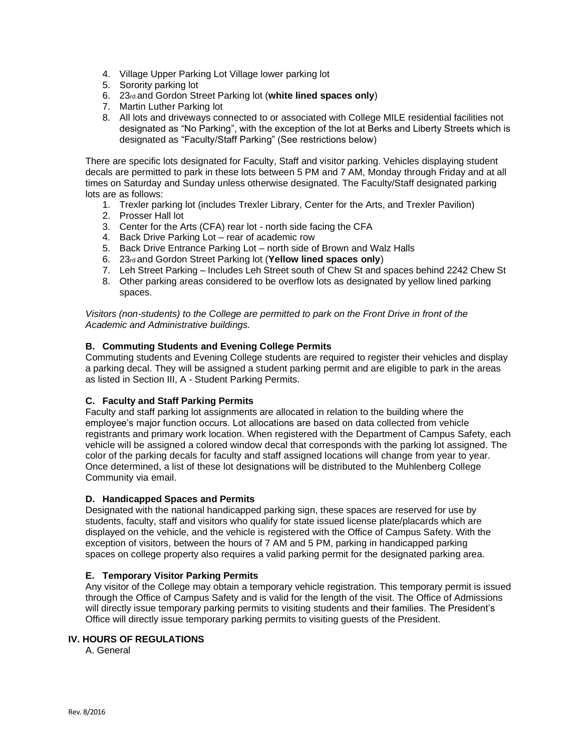- 4. Village Upper Parking Lot Village lower parking lot
- 5. Sorority parking lot
- 6. 23rd and Gordon Street Parking lot (**white lined spaces only**)
- 7. Martin Luther Parking lot
- 8. All lots and driveways connected to or associated with College MILE residential facilities not designated as "No Parking", with the exception of the lot at Berks and Liberty Streets which is designated as "Faculty/Staff Parking" (See restrictions below)

There are specific lots designated for Faculty, Staff and visitor parking. Vehicles displaying student decals are permitted to park in these lots between 5 PM and 7 AM, Monday through Friday and at all times on Saturday and Sunday unless otherwise designated. The Faculty/Staff designated parking lots are as follows:

- 1. Trexler parking lot (includes Trexler Library, Center for the Arts, and Trexler Pavilion)
- 2. Prosser Hall lot
- 3. Center for the Arts (CFA) rear lot north side facing the CFA
- 4. Back Drive Parking Lot rear of academic row
- 5. Back Drive Entrance Parking Lot north side of Brown and Walz Halls
- 6. 23rd and Gordon Street Parking lot (**Yellow lined spaces only**)
- 7. Leh Street Parking Includes Leh Street south of Chew St and spaces behind 2242 Chew St
- 8. Other parking areas considered to be overflow lots as designated by yellow lined parking spaces.

*Visitors (non-students) to the College are permitted to park on the Front Drive in front of the Academic and Administrative buildings.*

### **B. Commuting Students and Evening College Permits**

Commuting students and Evening College students are required to register their vehicles and display a parking decal. They will be assigned a student parking permit and are eligible to park in the areas as listed in Section III, A - Student Parking Permits.

## **C. Faculty and Staff Parking Permits**

Faculty and staff parking lot assignments are allocated in relation to the building where the employee's major function occurs. Lot allocations are based on data collected from vehicle registrants and primary work location. When registered with the Department of Campus Safety, each vehicle will be assigned a colored window decal that corresponds with the parking lot assigned. The color of the parking decals for faculty and staff assigned locations will change from year to year. Once determined, a list of these lot designations will be distributed to the Muhlenberg College Community via email.

#### **D. Handicapped Spaces and Permits**

Designated with the national handicapped parking sign, these spaces are reserved for use by students, faculty, staff and visitors who qualify for state issued license plate/placards which are displayed on the vehicle, and the vehicle is registered with the Office of Campus Safety. With the exception of visitors, between the hours of 7 AM and 5 PM, parking in handicapped parking spaces on college property also requires a valid parking permit for the designated parking area.

#### **E. Temporary Visitor Parking Permits**

Any visitor of the College may obtain a temporary vehicle registration. This temporary permit is issued through the Office of Campus Safety and is valid for the length of the visit. The Office of Admissions will directly issue temporary parking permits to visiting students and their families. The President's Office will directly issue temporary parking permits to visiting guests of the President.

#### **IV. HOURS OF REGULATIONS**

A. General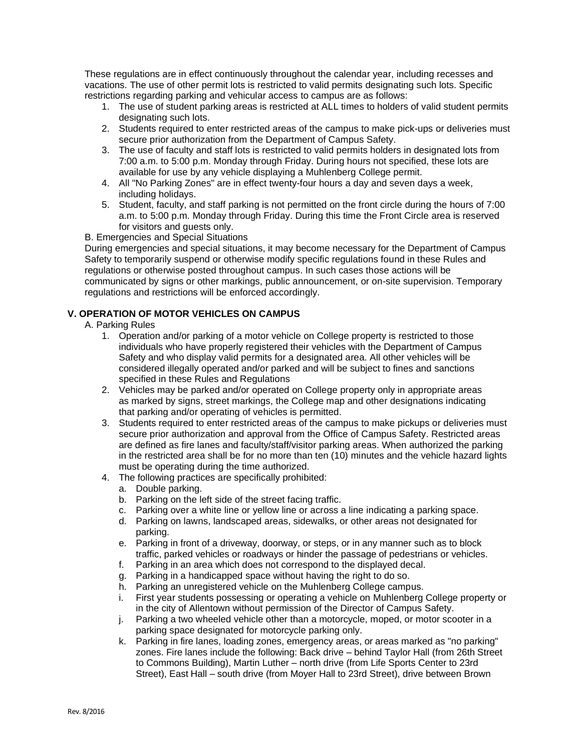These regulations are in effect continuously throughout the calendar year, including recesses and vacations. The use of other permit lots is restricted to valid permits designating such lots. Specific restrictions regarding parking and vehicular access to campus are as follows:

- 1. The use of student parking areas is restricted at ALL times to holders of valid student permits designating such lots.
- 2. Students required to enter restricted areas of the campus to make pick-ups or deliveries must secure prior authorization from the Department of Campus Safety.
- 3. The use of faculty and staff lots is restricted to valid permits holders in designated lots from 7:00 a.m. to 5:00 p.m. Monday through Friday. During hours not specified, these lots are available for use by any vehicle displaying a Muhlenberg College permit.
- 4. All "No Parking Zones" are in effect twenty-four hours a day and seven days a week, including holidays.
- 5. Student, faculty, and staff parking is not permitted on the front circle during the hours of 7:00 a.m. to 5:00 p.m. Monday through Friday. During this time the Front Circle area is reserved for visitors and guests only.

B. Emergencies and Special Situations

During emergencies and special situations, it may become necessary for the Department of Campus Safety to temporarily suspend or otherwise modify specific regulations found in these Rules and regulations or otherwise posted throughout campus. In such cases those actions will be communicated by signs or other markings, public announcement, or on-site supervision. Temporary regulations and restrictions will be enforced accordingly.

## **V. OPERATION OF MOTOR VEHICLES ON CAMPUS**

- A. Parking Rules
	- 1. Operation and/or parking of a motor vehicle on College property is restricted to those individuals who have properly registered their vehicles with the Department of Campus Safety and who display valid permits for a designated area. All other vehicles will be considered illegally operated and/or parked and will be subject to fines and sanctions specified in these Rules and Regulations
	- 2. Vehicles may be parked and/or operated on College property only in appropriate areas as marked by signs, street markings, the College map and other designations indicating that parking and/or operating of vehicles is permitted.
	- 3. Students required to enter restricted areas of the campus to make pickups or deliveries must secure prior authorization and approval from the Office of Campus Safety. Restricted areas are defined as fire lanes and faculty/staff/visitor parking areas. When authorized the parking in the restricted area shall be for no more than ten (10) minutes and the vehicle hazard lights must be operating during the time authorized.
	- 4. The following practices are specifically prohibited:
		- a. Double parking.
		- b. Parking on the left side of the street facing traffic.
		- c. Parking over a white line or yellow line or across a line indicating a parking space.
		- d. Parking on lawns, landscaped areas, sidewalks, or other areas not designated for parking.
		- e. Parking in front of a driveway, doorway, or steps, or in any manner such as to block traffic, parked vehicles or roadways or hinder the passage of pedestrians or vehicles.
		- f. Parking in an area which does not correspond to the displayed decal.
		- g. Parking in a handicapped space without having the right to do so.
		- h. Parking an unregistered vehicle on the Muhlenberg College campus.
		- i. First year students possessing or operating a vehicle on Muhlenberg College property or in the city of Allentown without permission of the Director of Campus Safety.
		- j. Parking a two wheeled vehicle other than a motorcycle, moped, or motor scooter in a parking space designated for motorcycle parking only.
		- k. Parking in fire lanes, loading zones, emergency areas, or areas marked as "no parking" zones. Fire lanes include the following: Back drive – behind Taylor Hall (from 26th Street to Commons Building), Martin Luther – north drive (from Life Sports Center to 23rd Street), East Hall – south drive (from Moyer Hall to 23rd Street), drive between Brown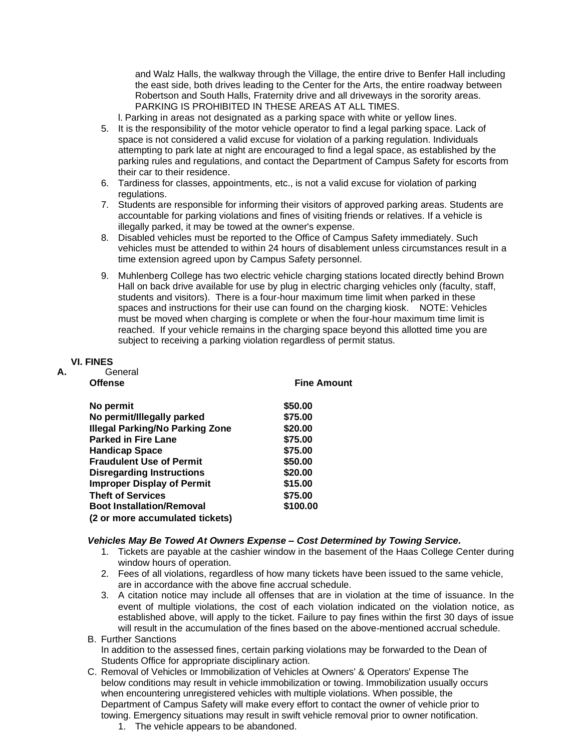and Walz Halls, the walkway through the Village, the entire drive to Benfer Hall including the east side, both drives leading to the Center for the Arts, the entire roadway between Robertson and South Halls, Fraternity drive and all driveways in the sorority areas. PARKING IS PROHIBITED IN THESE AREAS AT ALL TIMES.

l. Parking in areas not designated as a parking space with white or yellow lines.

- 5. It is the responsibility of the motor vehicle operator to find a legal parking space. Lack of space is not considered a valid excuse for violation of a parking regulation. Individuals attempting to park late at night are encouraged to find a legal space, as established by the parking rules and regulations, and contact the Department of Campus Safety for escorts from their car to their residence.
- 6. Tardiness for classes, appointments, etc., is not a valid excuse for violation of parking regulations.
- 7. Students are responsible for informing their visitors of approved parking areas. Students are accountable for parking violations and fines of visiting friends or relatives. If a vehicle is illegally parked, it may be towed at the owner's expense.
- 8. Disabled vehicles must be reported to the Office of Campus Safety immediately. Such vehicles must be attended to within 24 hours of disablement unless circumstances result in a time extension agreed upon by Campus Safety personnel.
- 9. Muhlenberg College has two electric vehicle charging stations located directly behind Brown Hall on back drive available for use by plug in electric charging vehicles only (faculty, staff, students and visitors). There is a four-hour maximum time limit when parked in these spaces and instructions for their use can found on the charging kiosk. NOTE: Vehicles must be moved when charging is complete or when the four-hour maximum time limit is reached. If your vehicle remains in the charging space beyond this allotted time you are subject to receiving a parking violation regardless of permit status.

## **VI. FINES**

| А. | General                                |                    |
|----|----------------------------------------|--------------------|
|    | <b>Offense</b>                         | <b>Fine Amount</b> |
|    | No permit                              | \$50.00            |
|    | No permit/Illegally parked             | \$75.00            |
|    | <b>Illegal Parking/No Parking Zone</b> | \$20.00            |
|    | <b>Parked in Fire Lane</b>             | \$75.00            |
|    | <b>Handicap Space</b>                  | \$75.00            |
|    | <b>Fraudulent Use of Permit</b>        | \$50.00            |
|    | <b>Disregarding Instructions</b>       | \$20.00            |
|    | <b>Improper Display of Permit</b>      | \$15.00            |
|    | <b>Theft of Services</b>               | \$75.00            |
|    | <b>Boot Installation/Removal</b>       | \$100.00           |
|    | (2 or more accumulated tickets)        |                    |
|    |                                        |                    |

#### *Vehicles May Be Towed At Owners Expense – Cost Determined by Towing Service.*

- 1. Tickets are payable at the cashier window in the basement of the Haas College Center during window hours of operation.
- 2. Fees of all violations, regardless of how many tickets have been issued to the same vehicle, are in accordance with the above fine accrual schedule.
- 3. A citation notice may include all offenses that are in violation at the time of issuance. In the event of multiple violations, the cost of each violation indicated on the violation notice, as established above, will apply to the ticket. Failure to pay fines within the first 30 days of issue will result in the accumulation of the fines based on the above-mentioned accrual schedule.
- B. Further Sanctions In addition to the assessed fines, certain parking violations may be forwarded to the Dean of Students Office for appropriate disciplinary action.
- C. Removal of Vehicles or Immobilization of Vehicles at Owners' & Operators' Expense The below conditions may result in vehicle immobilization or towing. Immobilization usually occurs when encountering unregistered vehicles with multiple violations. When possible, the Department of Campus Safety will make every effort to contact the owner of vehicle prior to towing. Emergency situations may result in swift vehicle removal prior to owner notification.
	- 1. The vehicle appears to be abandoned.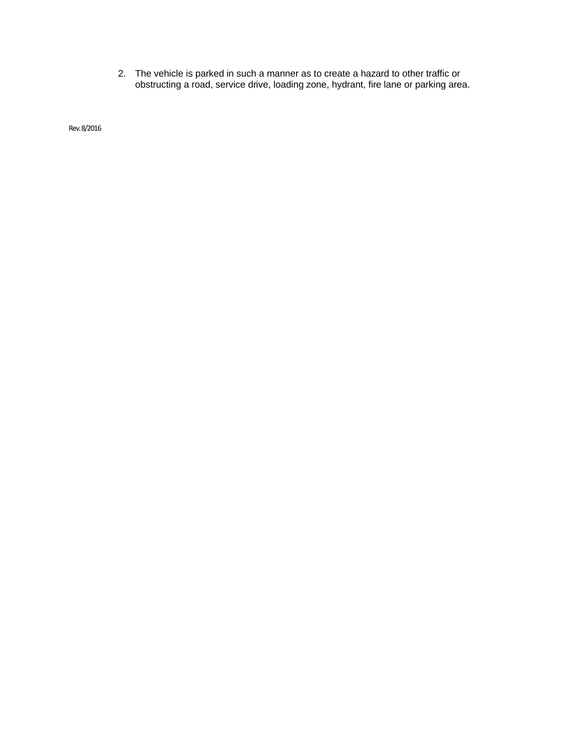2. The vehicle is parked in such a manner as to create a hazard to other traffic or obstructing a road, service drive, loading zone, hydrant, fire lane or parking area.

Rev. 8/2016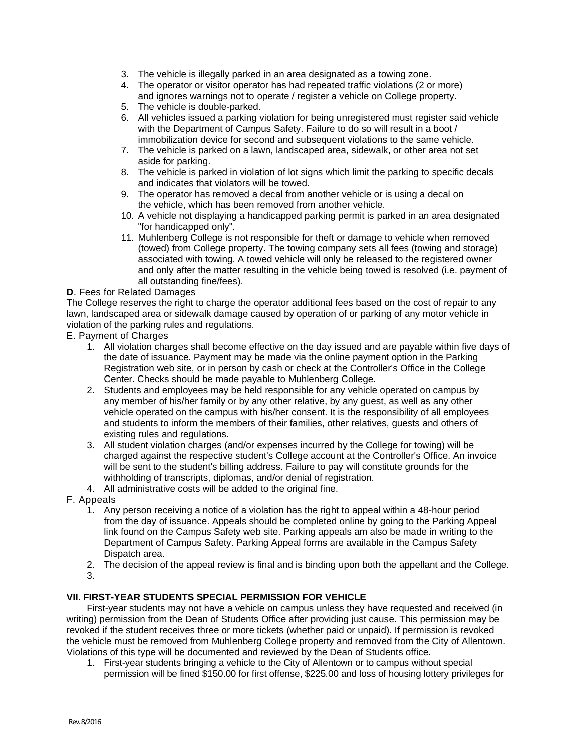- 3. The vehicle is illegally parked in an area designated as a towing zone.
- 4. The operator or visitor operator has had repeated traffic violations (2 or more) and ignores warnings not to operate / register a vehicle on College property.
- 5. The vehicle is double-parked.
- 6. All vehicles issued a parking violation for being unregistered must register said vehicle with the Department of Campus Safety. Failure to do so will result in a boot / immobilization device for second and subsequent violations to the same vehicle.
- 7. The vehicle is parked on a lawn, landscaped area, sidewalk, or other area not set aside for parking.
- 8. The vehicle is parked in violation of lot signs which limit the parking to specific decals and indicates that violators will be towed.
- 9. The operator has removed a decal from another vehicle or is using a decal on the vehicle, which has been removed from another vehicle.
- 10. A vehicle not displaying a handicapped parking permit is parked in an area designated "for handicapped only".
- 11. Muhlenberg College is not responsible for theft or damage to vehicle when removed (towed) from College property. The towing company sets all fees (towing and storage) associated with towing. A towed vehicle will only be released to the registered owner and only after the matter resulting in the vehicle being towed is resolved (i.e. payment of all outstanding fine/fees).

### **D**. Fees for Related Damages

The College reserves the right to charge the operator additional fees based on the cost of repair to any lawn, landscaped area or sidewalk damage caused by operation of or parking of any motor vehicle in violation of the parking rules and regulations.

- E. Payment of Charges
	- 1. All violation charges shall become effective on the day issued and are payable within five days of the date of issuance. Payment may be made via the online payment option in the Parking Registration web site, or in person by cash or check at the Controller's Office in the College Center. Checks should be made payable to Muhlenberg College.
	- 2. Students and employees may be held responsible for any vehicle operated on campus by any member of his/her family or by any other relative, by any guest, as well as any other vehicle operated on the campus with his/her consent. It is the responsibility of all employees and students to inform the members of their families, other relatives, guests and others of existing rules and regulations.
	- 3. All student violation charges (and/or expenses incurred by the College for towing) will be charged against the respective student's College account at the Controller's Office. An invoice will be sent to the student's billing address. Failure to pay will constitute grounds for the withholding of transcripts, diplomas, and/or denial of registration.
	- 4. All administrative costs will be added to the original fine.
- F. Appeals
	- 1. Any person receiving a notice of a violation has the right to appeal within a 48-hour period from the day of issuance. Appeals should be completed online by going to the Parking Appeal link found on the Campus Safety web site. Parking appeals am also be made in writing to the Department of Campus Safety. Parking Appeal forms are available in the Campus Safety Dispatch area.
	- 2. The decision of the appeal review is final and is binding upon both the appellant and the College.
	- 3.

## **VII. FIRST-YEAR STUDENTS SPECIAL PERMISSION FOR VEHICLE**

First-year students may not have a vehicle on campus unless they have requested and received (in writing) permission from the Dean of Students Office after providing just cause. This permission may be revoked if the student receives three or more tickets (whether paid or unpaid). If permission is revoked the vehicle must be removed from Muhlenberg College property and removed from the City of Allentown. Violations of this type will be documented and reviewed by the Dean of Students office.

1. First-year students bringing a vehicle to the City of Allentown or to campus without special permission will be fined \$150.00 for first offense, \$225.00 and loss of housing lottery privileges for